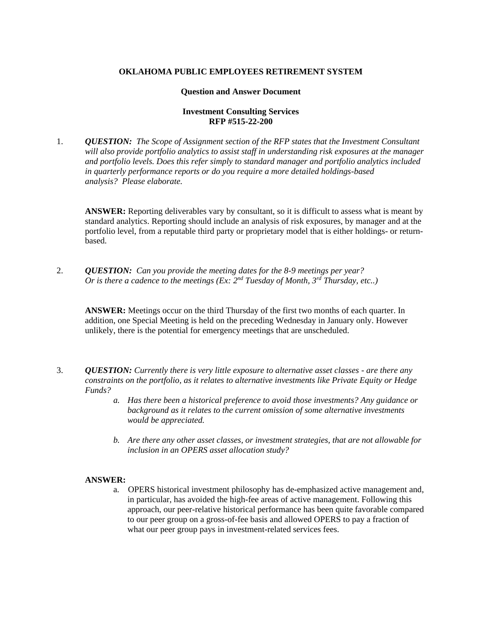### **OKLAHOMA PUBLIC EMPLOYEES RETIREMENT SYSTEM**

#### **Question and Answer Document**

## **Investment Consulting Services RFP #515-22-200**

1. *QUESTION: The Scope of Assignment section of the RFP states that the Investment Consultant will also provide portfolio analytics to assist staff in understanding risk exposures at the manager and portfolio levels. Does this refer simply to standard manager and portfolio analytics included in quarterly performance reports or do you require a more detailed holdings-based analysis? Please elaborate.*

**ANSWER:** Reporting deliverables vary by consultant, so it is difficult to assess what is meant by standard analytics. Reporting should include an analysis of risk exposures, by manager and at the portfolio level, from a reputable third party or proprietary model that is either holdings- or returnbased.

2. *QUESTION: Can you provide the meeting dates for the 8-9 meetings per year? Or is there a cadence to the meetings (Ex: 2nd Tuesday of Month, 3rd Thursday, etc..)*

**ANSWER:** Meetings occur on the third Thursday of the first two months of each quarter. In addition, one Special Meeting is held on the preceding Wednesday in January only. However unlikely, there is the potential for emergency meetings that are unscheduled.

- 3. *QUESTION: Currently there is very little exposure to alternative asset classes - are there any constraints on the portfolio, as it relates to alternative investments like Private Equity or Hedge Funds?*
	- *a. Has there been a historical preference to avoid those investments? Any guidance or background as it relates to the current omission of some alternative investments would be appreciated.*
	- *b. Are there any other asset classes, or investment strategies, that are not allowable for inclusion in an OPERS asset allocation study?*

#### **ANSWER:**

a. OPERS historical investment philosophy has de-emphasized active management and, in particular, has avoided the high-fee areas of active management. Following this approach, our peer-relative historical performance has been quite favorable compared to our peer group on a gross-of-fee basis and allowed OPERS to pay a fraction of what our peer group pays in investment-related services fees.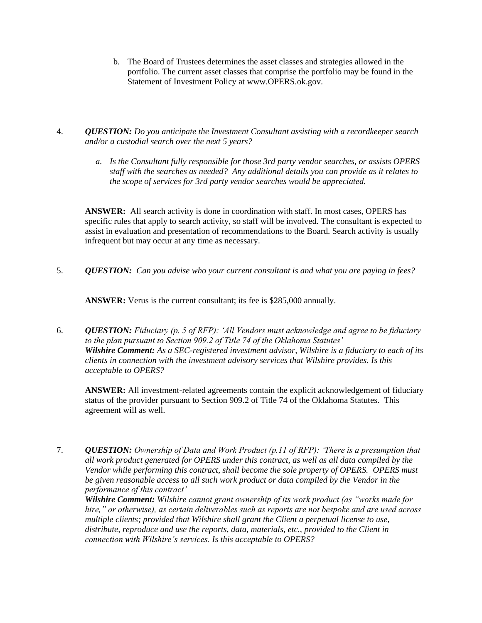b. The Board of Trustees determines the asset classes and strategies allowed in the portfolio. The current asset classes that comprise the portfolio may be found in the Statement of Investment Policy at www.OPERS.ok.gov.

4. *QUESTION: Do you anticipate the Investment Consultant assisting with a recordkeeper search and/or a custodial search over the next 5 years?*

> *a. Is the Consultant fully responsible for those 3rd party vendor searches, or assists OPERS staff with the searches as needed? Any additional details you can provide as it relates to the scope of services for 3rd party vendor searches would be appreciated.*

**ANSWER:** All search activity is done in coordination with staff. In most cases, OPERS has specific rules that apply to search activity, so staff will be involved. The consultant is expected to assist in evaluation and presentation of recommendations to the Board. Search activity is usually infrequent but may occur at any time as necessary.

5. *QUESTION: Can you advise who your current consultant is and what you are paying in fees?*

**ANSWER:** Verus is the current consultant; its fee is \$285,000 annually.

6. *QUESTION: Fiduciary (p. 5 of RFP): 'All Vendors must acknowledge and agree to be fiduciary to the plan pursuant to Section 909.2 of Title 74 of the Oklahoma Statutes' Wilshire Comment: As a SEC-registered investment advisor, Wilshire is a fiduciary to each of its clients in connection with the investment advisory services that Wilshire provides. Is this acceptable to OPERS?*

**ANSWER:** All investment-related agreements contain the explicit acknowledgement of fiduciary status of the provider pursuant to Section 909.2 of Title 74 of the Oklahoma Statutes. This agreement will as well.

7. *QUESTION: Ownership of Data and Work Product (p.11 of RFP): 'There is a presumption that all work product generated for OPERS under this contract, as well as all data compiled by the Vendor while performing this contract, shall become the sole property of OPERS. OPERS must*  be given reasonable access to all such work product or data compiled by the Vendor in the *performance of this contract'*

*Wilshire Comment: Wilshire cannot grant ownership of its work product (as "works made for hire," or otherwise), as certain deliverables such as reports are not bespoke and are used across multiple clients; provided that Wilshire shall grant the Client a perpetual license to use, distribute, reproduce and use the reports, data, materials, etc., provided to the Client in connection with Wilshire's services. Is this acceptable to OPERS?*